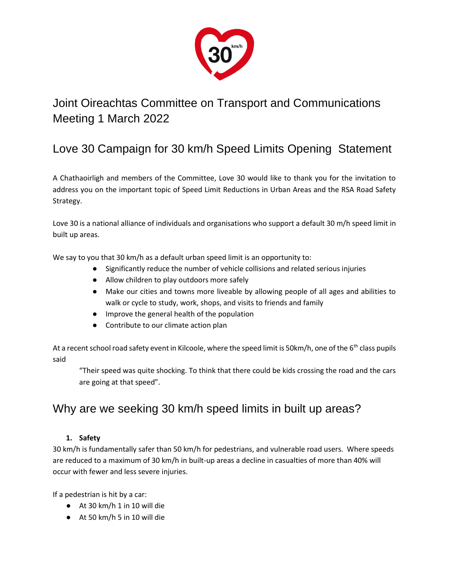

# Joint Oireachtas Committee on Transport and Communications Meeting 1 March 2022

# Love 30 Campaign for 30 km/h Speed Limits Opening Statement

A Chathaoirligh and members of the Committee, Love 30 would like to thank you for the invitation to address you on the important topic of Speed Limit Reductions in Urban Areas and the RSA Road Safety Strategy.

Love 30 is a national alliance of individuals and organisations who support a default 30 m/h speed limit in built up areas.

We say to you that 30 km/h as a default urban speed limit is an opportunity to:

- Significantly reduce the number of vehicle collisions and related serious injuries
- Allow children to play outdoors more safely
- Make our cities and towns more liveable by allowing people of all ages and abilities to walk or cycle to study, work, shops, and visits to friends and family
- Improve the general health of the population
- Contribute to our climate action plan

At a recent school road safety event in Kilcoole, where the speed limit is 50km/h, one of the 6<sup>th</sup> class pupils said

"Their speed was quite shocking. To think that there could be kids crossing the road and the cars are going at that speed".

## Why are we seeking 30 km/h speed limits in built up areas?

#### **1. Safety**

30 km/h is fundamentally safer than 50 km/h for pedestrians, and vulnerable road users. Where speeds are reduced to a maximum of 30 km/h in built-up areas a decline in casualties of more than 40% will occur with fewer and less severe injuries.

If a pedestrian is hit by a car:

- At 30 km/h 1 in 10 will die
- At 50 km/h 5 in 10 will die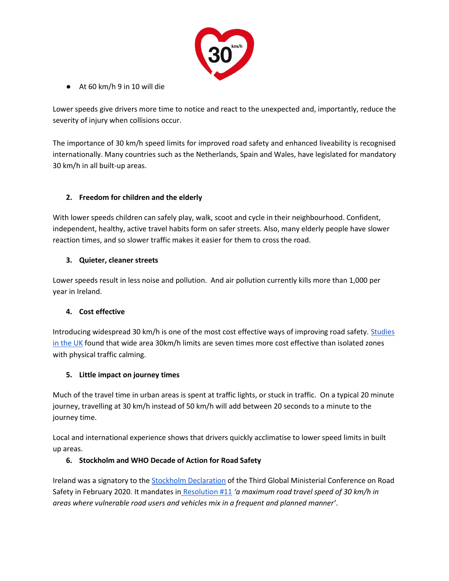

● At 60 km/h 9 in 10 will die

Lower speeds give drivers more time to notice and react to the unexpected and, importantly, reduce the severity of injury when collisions occur.

The importance of 30 km/h speed limits for improved road safety and enhanced liveability is recognised internationally. Many countries such as the Netherlands, Spain and Wales, have legislated for mandatory 30 km/h in all built-up areas.

#### **2. Freedom for children and the elderly**

With lower speeds children can safely play, walk, scoot and cycle in their neighbourhood. Confident, independent, healthy, active travel habits form on safer streets. Also, many elderly people have slower reaction times, and so slower traffic makes it easier for them to cross the road.

#### **3. Quieter, cleaner streets**

Lower speeds result in less noise and pollution. And air pollution currently kills more than 1,000 per year in Ireland.

#### **4. Cost effective**

Introducing widespread 30 km/h is one of the most cost effective ways of improving road safety[. Studies](https://www.20splenty.org/20mph_vfm)  [in the UK](https://www.20splenty.org/20mph_vfm) found that wide area 30km/h limits are seven times more cost effective than isolated zones with physical traffic calming.

#### **5. Little impact on journey times**

Much of the travel time in urban areas is spent at traffic lights, or stuck in traffic. On a typical 20 minute journey, travelling at 30 km/h instead of 50 km/h will add between 20 seconds to a minute to the journey time.

Local and international experience shows that drivers quickly acclimatise to lower speed limits in built up areas.

#### **6. Stockholm and WHO Decade of Action for Road Safety**

Ireland was a signatory to the [Stockholm Declaration](https://www.roadsafetysweden.com/contentassets/b37f0951c837443eb9661668d5be439e/stockholm-declaration-english.pdf) of the Third Global Ministerial Conference on Road Safety in February 2020. It mandates i[n](https://www.roadsafetysweden.com/contentassets/b37f0951c837443eb9661668d5be439e/stockholm-declaration-english.pdf) [Resolution #11](https://www.roadsafetysweden.com/contentassets/b37f0951c837443eb9661668d5be439e/stockholm-declaration-english.pdf) *'a maximum road travel speed of 30 km/h in areas where vulnerable road users and vehicles mix in a frequent and planned manner'*.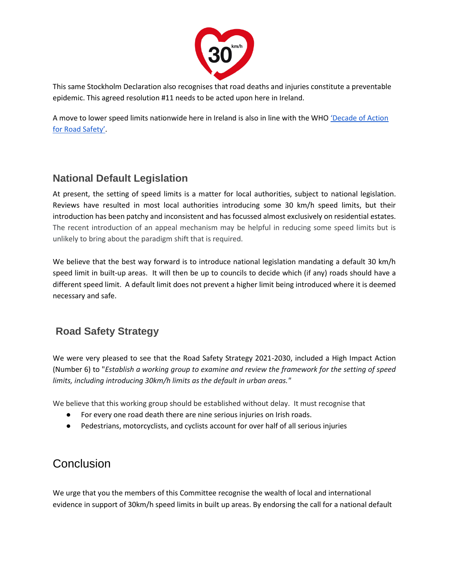

This same Stockholm Declaration also recognises that road deaths and injuries constitute a preventable epidemic. This agreed resolution #11 needs to be acted upon here in Ireland.

A move to lower speed limits nationwide here in Ireland is also in line with the WHO ['Decade of Action](https://www.who.int/news/item/28-10-2021-who-kicks-off-a-decade-of-action-for-road-safety)  [for Road Safety'](https://www.who.int/news/item/28-10-2021-who-kicks-off-a-decade-of-action-for-road-safety).

### **National Default Legislation**

At present, the setting of speed limits is a matter for local authorities, subject to national legislation. Reviews have resulted in most local authorities introducing some 30 km/h speed limits, but their introduction has been patchy and inconsistent and has focussed almost exclusively on residential estates. The recent introduction of an appeal mechanism may be helpful in reducing some speed limits but is unlikely to bring about the paradigm shift that is required.

We believe that the best way forward is to introduce national legislation mandating a default 30 km/h speed limit in built-up areas. It will then be up to councils to decide which (if any) roads should have a different speed limit. A default limit does not prevent a higher limit being introduced where it is deemed necessary and safe.

### **Road Safety Strategy**

We were very pleased to see that the Road Safety Strategy 2021-2030, included a High Impact Action (Number 6) to "*Establish a working group to examine and review the framework for the setting of speed limits, including introducing 30km/h limits as the default in urban areas."*

We believe that this working group should be established without delay. It must recognise that

- For every one road death there are nine serious injuries on Irish roads.
- Pedestrians, motorcyclists, and cyclists account for over half of all serious injuries

## Conclusion

We urge that you the members of this Committee recognise the wealth of local and international evidence in support of 30km/h speed limits in built up areas. By endorsing the call for a national default